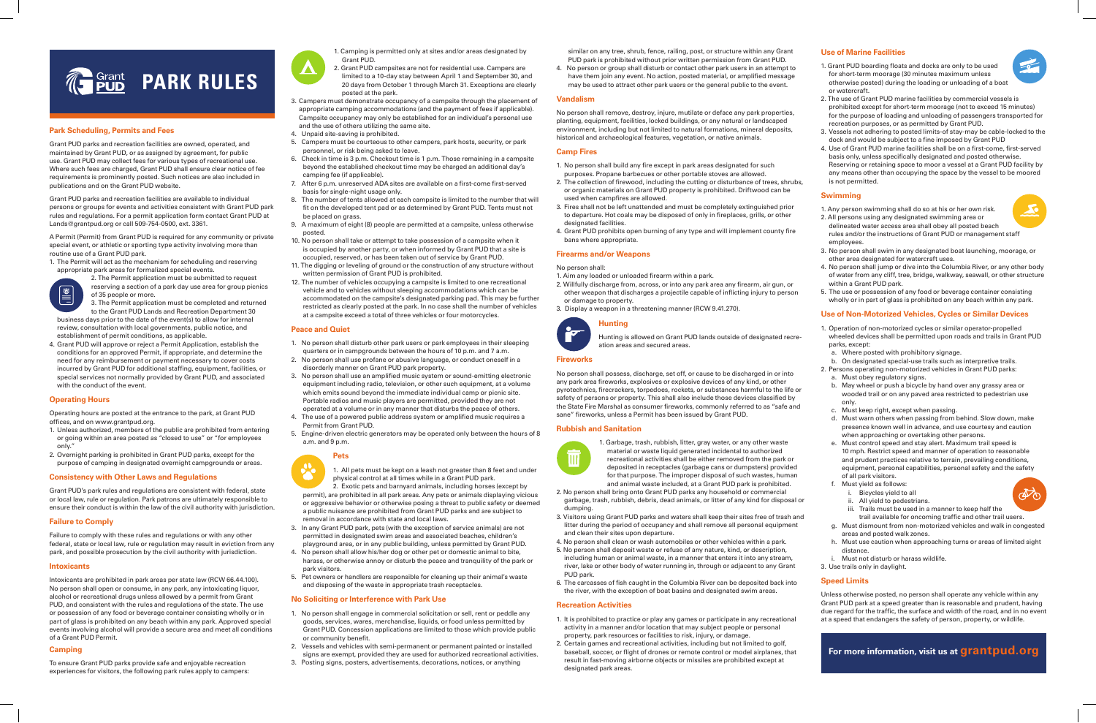## **Park Scheduling, Permits and Fees**

Grant PUD parks and recreation facilities are owned, operated, and maintained by Grant PUD, or as assigned by agreement, for public use. Grant PUD may collect fees for various types of recreational use. Where such fees are charged, Grant PUD shall ensure clear notice of fee requirements is prominently posted. Such notices are also included in publications and on the Grant PUD website.

Grant PUD parks and recreation facilities are available to individual persons or groups for events and activities consistent with Grant PUD park rules and regulations. For a permit application form contact Grant PUD at Lands@grantpud.org or call 509-754-0500, ext. 3361.

A Permit (Permit) from Grant PUD is required for any community or private special event, or athletic or sporting type activity involving more than routine use of a Grant PUD park.

1. The Permit will act as the mechanism for scheduling and reserving appropriate park areas for formalized special events.



2. The Permit application must be submitted to request reserving a section of a park day use area for group picnics of 35 people or more. 3. The Permit application must be completed and returned

- to the Grant PUD Lands and Recreation Department 30 business days prior to the date of the event(s) to allow for internal review, consultation with local governments, public notice, and establishment of permit conditions, as applicable.
- 4. Grant PUD will approve or reject a Permit Application, establish the conditions for an approved Permit, if appropriate, and determine the need for any reimbursement or payment necessary to cover costs incurred by Grant PUD for additional staffing, equipment, facilities, or special services not normally provided by Grant PUD, and associated with the conduct of the event.

## **Operating Hours**

Operating hours are posted at the entrance to the park, at Grant PUD offices, and on www.grantpud.org.

- 1. Unless authorized, members of the public are prohibited from entering or going within an area posted as "closed to use" or "for employees only."
- 2. Overnight parking is prohibited in Grant PUD parks, except for the purpose of camping in designated overnight campgrounds or areas.

## **Consistency with Other Laws and Regulations**

Grant PUD's park rules and regulations are consistent with federal, state or local law, rule or regulation. Park patrons are ultimately responsible to ensure their conduct is within the law of the civil authority with jurisdiction.

## **Failure to Comply**

Failure to comply with these rules and regulations or with any other federal, state or local law, rule or regulation may result in eviction from any park, and possible prosecution by the civil authority with jurisdiction.

## **Intoxicants**

Intoxicants are prohibited in park areas per state law (RCW 66.44.100). No person shall open or consume, in any park, any intoxicating liquor, alcohol or recreational drugs unless allowed by a permit from Grant PUD, and consistent with the rules and regulations of the state. The use or possession of any food or beverage container consisting wholly or in part of glass is prohibited on any beach within any park. Approved special events involving alcohol will provide a secure area and meet all conditions of a Grant PUD Permit.

## **Camping**

To ensure Grant PUD parks provide safe and enjoyable recreation experiences for visitors, the following park rules apply to campers:

## **Use of Marine Facilities**

- 1. Grant PUD boarding floats and docks are only to be used for short-term moorage (30 minutes maximum unless otherwise posted) during the loading or unloading of a boat or watercraft.
- 2. The use of Grant PUD marine facilities by commercial vessels is prohibited except for short-term moorage (not to exceed 15 minutes) for the purpose of loading and unloading of passengers transported for recreation purposes, or as permitted by Grant PUD.
- 3. Vessels not adhering to posted limits-of stay-may be cable-locked to the dock and would be subject to a fine imposed by Grant PUD
- 4. Use of Grant PUD marine facilities shall be on a first-come, first-served basis only, unless specifically designated and posted otherwise. Reserving or retaining space to moor a vessel at a Grant PUD facility by any means other than occupying the space by the vessel to be moored is not permitted.

## **Swimming**

- 1. Any person swimming shall do so at his or her own risk.
- 2. All persons using any designated swimming area or delineated water access area shall obey all posted beach rules and/or the instructions of Grant PUD or management staff employees.
- 3. No person shall swim in any designated boat launching, moorage, or other area designated for watercraft uses.
- 4. No person shall jump or dive into the Columbia River, or any other body of water from any cliff, tree, bridge, walkway, seawall, or other structure within a Grant PUD park.
- 5. The use or possession of any food or beverage container consisting wholly or in part of glass is prohibited on any beach within any park.

## **Use of Non-Motorized Vehicles, Cycles or Similar Devices**

- 1. Operation of non-motorized cycles or similar operator-propelled wheeled devices shall be permitted upon roads and trails in Grant PUD parks, except:
- a. Where posted with prohibitory signage.
- b. On designated special-use trails such as interpretive trails.
- 2. Persons operating non-motorized vehicles in Grant PUD parks:
- a. Must obey regulatory signs.
- b. May wheel or push a bicycle by hand over any grassy area or wooded trail or on any paved area restricted to pedestrian use only.
- c. Must keep right, except when passing.
- d. Must warn others when passing from behind. Slow down, make presence known well in advance, and use courtesy and caution when approaching or overtaking other persons.
- e. Must control speed and stay alert. Maximum trail speed is 10 mph. Restrict speed and manner of operation to reasonable and prudent practices relative to terrain, prevailing conditions, equipment, personal capabilities, personal safety and the safety of all park visitors.
- f. Must yield as follows:
	- i. Bicycles yield to all
	- ii. All yield to pedestrians.
	- iii. Trails must be used in a manner to keep half the
	- trail available for oncoming traffic and other trail users.
- g. Must dismount from non-motorized vehicles and walk in congested areas and posted walk zones.
- h. Must use caution when approaching turns or areas of limited sight distance.
- i. Must not disturb or harass wildlife.
- 3. Use trails only in daylight.

## **Speed Limits**

Unless otherwise posted, no person shall operate any vehicle within any Grant PUD park at a speed greater than is reasonable and prudent, having due regard for the traffic, the surface and width of the road, and in no event at a speed that endangers the safety of person, property, or wildlife.

similar on any tree, shrub, fence, railing, post, or structure within any Grant PUD park is prohibited without prior written permission from Grant PUD.

4. No person or group shall disturb or contact other park users in an attempt to have them join any event. No action, posted material, or amplified message may be used to attract other park users or the general public to the event.

## **Vandalism**

No person shall remove, destroy, injure, mutilate or deface any park properties, planting, equipment, facilities, locked buildings, or any natural or landscaped environment, including but not limited to natural formations, mineral deposits, historical and archaeological features, vegetation, or native animals.

## **Camp Fires**

- 1. No person shall build any fire except in park areas designated for such purposes. Propane barbecues or other portable stoves are allowed.
- 2. The collection of firewood, including the cutting or disturbance of trees, shrubs, or organic materials on Grant PUD property is prohibited. Driftwood can be used when campfires are allowed.
- 3. Fires shall not be left unattended and must be completely extinguished prior to departure. Hot coals may be disposed of only in fireplaces, grills, or other designated facilities.
- 4. Grant PUD prohibits open burning of any type and will implement county fire bans where appropriate.

## **Firearms and/or Weapons**

## No person shall:

- 1. Aim any loaded or unloaded firearm within a park.
- 2. Willfully discharge from, across, or into any park area any firearm, air gun, or other weapon that discharges a projectile capable of inflicting injury to person or damage to property.
- 3. Display a weapon in a threatening manner (RCW 9.41.270).

## **Hunting**

Hunting is allowed on Grant PUD lands outside of designated recreation areas and secured areas.

## **Fireworks**

No person shall possess, discharge, set off, or cause to be discharged in or into any park area fireworks, explosives or explosive devices of any kind, or other pyrotechnics, firecrackers, torpedoes, rockets, or substances harmful to the life or safety of persons or property. This shall also include those devices classified by the State Fire Marshal as consumer fireworks, commonly referred to as "safe and sane" fireworks, unless a Permit has been issued by Grant PUD.

## **Rubbish and Sanitation**



1. Garbage, trash, rubbish, litter, gray water, or any other waste material or waste liquid generated incidental to authorized recreational activities shall be either removed from the park or deposited in receptacles (garbage cans or dumpsters) provided for that purpose. The improper disposal of such wastes, human and animal waste included, at a Grant PUD park is prohibited.

- 2. No person shall bring onto Grant PUD parks any household or commercial garbage, trash, rubbish, debris, dead animals, or litter of any kind for disposal or dumping.
- 3. Visitors using Grant PUD parks and waters shall keep their sites free of trash and litter during the period of occupancy and shall remove all personal equipment and clean their sites upon departure.
- 4. No person shall clean or wash automobiles or other vehicles within a park.
- 5. No person shall deposit waste or refuse of any nature, kind, or description, including human or animal waste, in a manner that enters it into any stream, river, lake or other body of water running in, through or adjacent to any Grant PUD park.
- 6. The carcasses of fish caught in the Columbia River can be deposited back into the river, with the exception of boat basins and designated swim areas.

## **Recreation Activities**

- 1. It is prohibited to practice or play any games or participate in any recreational activity in a manner and/or location that may subject people or personal property, park resources or facilities to risk, injury, or damage.
- 2. Certain games and recreational activities, including but not limited to golf, baseball, soccer, or flight of drones or remote control or model airplanes, that result in fast-moving airborne objects or missiles are prohibited except at designated park areas.

1. Camping is permitted only at sites and/or areas designated by



- 2. Grant PUD campsites are not for residential use. Campers are limited to a 10-day stay between April 1 and September 30, and 20 days from October 1 through March 31. Exceptions are clearly posted at the park.
- 3. Campers must demonstrate occupancy of a campsite through the placement of appropriate camping accommodations (and the payment of fees if applicable). Campsite occupancy may only be established for an individual's personal use and the use of others utilizing the same site.
- 4. Unpaid site-saving is prohibited.
- 5. Campers must be courteous to other campers, park hosts, security, or park personnel, or risk being asked to leave.
- 6. Check in time is 3 p.m. Checkout time is 1 p.m. Those remaining in a campsite beyond the established checkout time may be charged an additional day's camping fee (if applicable).
- 7. After 6 p.m. unreserved ADA sites are available on a first-come first-served basis for single-night usage only.
- 8. The number of tents allowed at each campsite is limited to the number that will fit on the developed tent pad or as determined by Grant PUD. Tents must not be placed on grass.
- 9. A maximum of eight (8) people are permitted at a campsite, unless otherwise posted.
- 10. No person shall take or attempt to take possession of a campsite when it is occupied by another party, or when informed by Grant PUD that a site is occupied, reserved, or has been taken out of service by Grant PUD.
- 11. The digging or leveling of ground or the construction of any structure without written permission of Grant PUD is prohibited.
- 12. The number of vehicles occupying a campsite is limited to one recreational vehicle and to vehicles without sleeping accommodations which can be accommodated on the campsite's designated parking pad. This may be further restricted as clearly posted at the park. In no case shall the number of vehicles at a campsite exceed a total of three vehicles or four motorcycles.

## **Peace and Quiet**

- 1. No person shall disturb other park users or park employees in their sleeping quarters or in campgrounds between the hours of 10 p.m. and 7 a.m.
- 2. No person shall use profane or abusive language, or conduct oneself in a disorderly manner on Grant PUD park property.
- 3. No person shall use an amplified music system or sound-emitting electronic equipment including radio, television, or other such equipment, at a volume which emits sound beyond the immediate individual camp or picnic site. Portable radios and music players are permitted, provided they are not operated at a volume or in any manner that disturbs the peace of others.
- 4. The use of a powered public address system or amplified music requires a Permit from Grant PUD.
- 5. Engine-driven electric generators may be operated only between the hours of 8 a.m. and 9 p.m.

## **Pets**

1. All pets must be kept on a leash not greater than 8 feet and under physical control at all times while in a Grant PUD park.

2. Exotic pets and barnyard animals, including horses (except by permit), are prohibited in all park areas. Any pets or animals displaying vicious or aggressive behavior or otherwise posing a threat to public safety or deemed a public nuisance are prohibited from Grant PUD parks and are subject to removal in accordance with state and local laws.

- 3. In any Grant PUD park, pets (with the exception of service animals) are not permitted in designated swim areas and associated beaches, children's playground area, or in any public building, unless permitted by Grant PUD.
- 4. No person shall allow his/her dog or other pet or domestic animal to bite, harass, or otherwise annoy or disturb the peace and tranquility of the park or park visitors.
- 5. Pet owners or handlers are responsible for cleaning up their animal's waste and disposing of the waste in appropriate trash receptacles.

## **No Soliciting or Interference with Park Use**

- 1. No person shall engage in commercial solicitation or sell, rent or peddle any goods, services, wares, merchandise, liquids, or food unless permitted by Grant PUD. Concession applications are limited to those which provide public or community benefit.
- 2. Vessels and vehicles with semi-permanent or permanent painted or installed signs are exempt, provided they are used for authorized recreational activities.
- 3. Posting signs, posters, advertisements, decorations, notices, or anything



**For more information, visit us at grantpud.org**